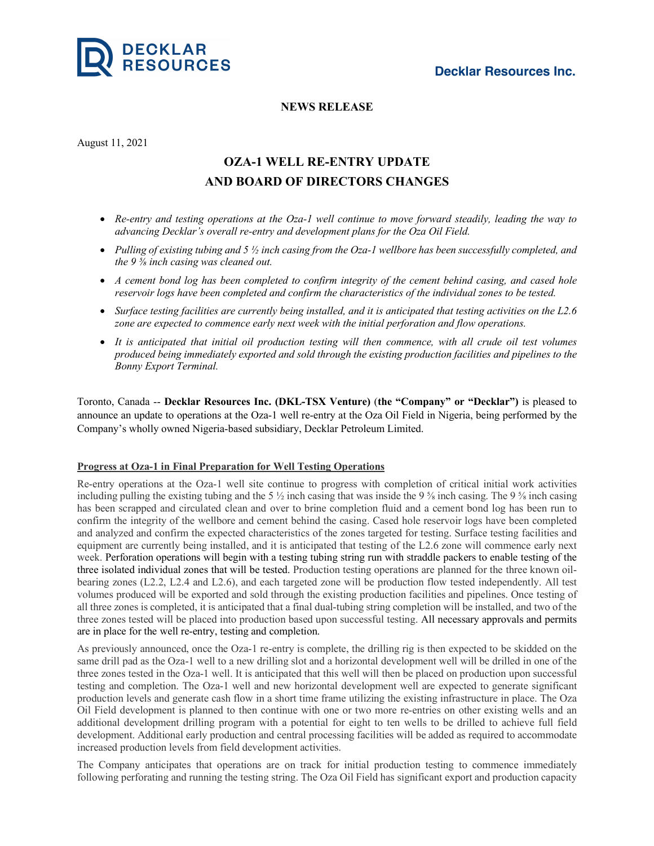

## **NEWS RELEASE**

August 11, 2021

# **OZA-1 WELL RE-ENTRY UPDATE AND BOARD OF DIRECTORS CHANGES**

- *Re-entry and testing operations at the Oza-1 well continue to move forward steadily, leading the way to advancing Decklar's overall re-entry and development plans for the Oza Oil Field.*
- Pulling of existing tubing and  $5\frac{1}{2}$  inch casing from the Oza-1 wellbore has been successfully completed, and *the 9 ⅝ inch casing was cleaned out.*
- A cement bond log has been completed to confirm integrity of the cement behind casing, and cased hole *reservoir logs have been completed and confirm the characteristics of the individual zones to be tested.*
- Surface testing facilities are currently being installed, and it is anticipated that testing activities on the L2.6 *zone are expected to commence early next week with the initial perforation and flow operations.*
- It is anticipated that initial oil production testing will then commence, with all crude oil test volumes *produced being immediately exported and sold through the existing production facilities and pipelines to the Bonny Export Terminal.*

Toronto, Canada -- **Decklar Resources Inc. (DKL-TSX Venture)** (**the "Company" or "Decklar")** is pleased to announce an update to operations at the Oza-1 well re-entry at the Oza Oil Field in Nigeria, being performed by the Company's wholly owned Nigeria-based subsidiary, Decklar Petroleum Limited.

#### **Progress at Oza-1 in Final Preparation for Well Testing Operations**

Re-entry operations at the Oza-1 well site continue to progress with completion of critical initial work activities including pulling the existing tubing and the 5  $\frac{1}{2}$  inch casing that was inside the 9  $\frac{1}{2}$  inch casing. The 9  $\frac{1}{2}$  inch casing has been scrapped and circulated clean and over to brine completion fluid and a cement bond log has been run to confirm the integrity of the wellbore and cement behind the casing. Cased hole reservoir logs have been completed and analyzed and confirm the expected characteristics of the zones targeted for testing. Surface testing facilities and equipment are currently being installed, and it is anticipated that testing of the L2.6 zone will commence early next week. Perforation operations will begin with a testing tubing string run with straddle packers to enable testing of the three isolated individual zones that will be tested. Production testing operations are planned for the three known oilbearing zones (L2.2, L2.4 and L2.6), and each targeted zone will be production flow tested independently. All test volumes produced will be exported and sold through the existing production facilities and pipelines. Once testing of all three zones is completed, it is anticipated that a final dual-tubing string completion will be installed, and two of the three zones tested will be placed into production based upon successful testing. All necessary approvals and permits are in place for the well re-entry, testing and completion.

As previously announced, once the Oza-1 re-entry is complete, the drilling rig is then expected to be skidded on the same drill pad as the Oza-1 well to a new drilling slot and a horizontal development well will be drilled in one of the three zones tested in the Oza-1 well. It is anticipated that this well will then be placed on production upon successful testing and completion. The Oza-1 well and new horizontal development well are expected to generate significant production levels and generate cash flow in a short time frame utilizing the existing infrastructure in place. The Oza Oil Field development is planned to then continue with one or two more re-entries on other existing wells and an additional development drilling program with a potential for eight to ten wells to be drilled to achieve full field development. Additional early production and central processing facilities will be added as required to accommodate increased production levels from field development activities.

The Company anticipates that operations are on track for initial production testing to commence immediately following perforating and running the testing string. The Oza Oil Field has significant export and production capacity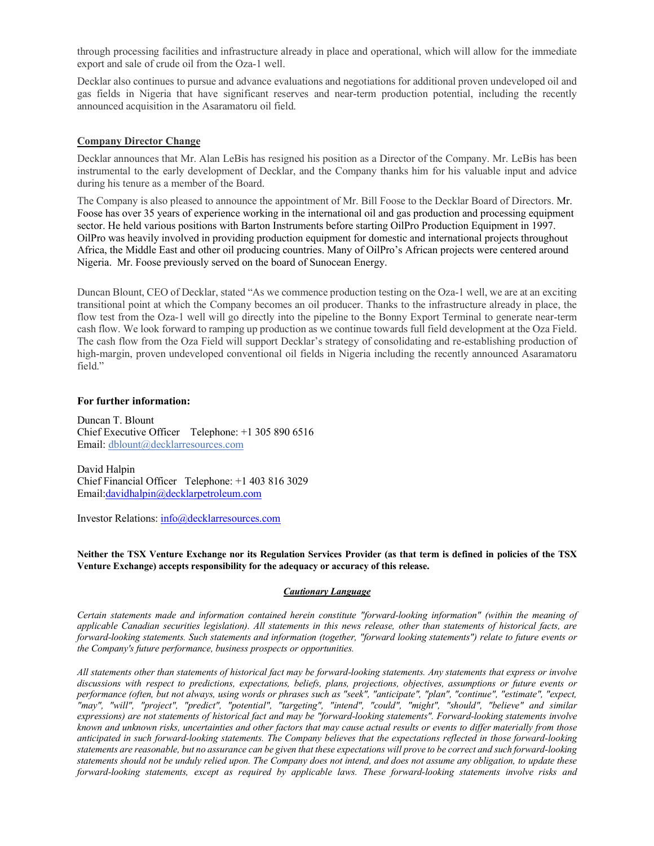through processing facilities and infrastructure already in place and operational, which will allow for the immediate export and sale of crude oil from the Oza-1 well.

Decklar also continues to pursue and advance evaluations and negotiations for additional proven undeveloped oil and gas fields in Nigeria that have significant reserves and near-term production potential, including the recently announced acquisition in the Asaramatoru oil field.

### **Company Director Change**

Decklar announces that Mr. Alan LeBis has resigned his position as a Director of the Company. Mr. LeBis has been instrumental to the early development of Decklar, and the Company thanks him for his valuable input and advice during his tenure as a member of the Board.

The Company is also pleased to announce the appointment of Mr. Bill Foose to the Decklar Board of Directors. Mr. Foose has over 35 years of experience working in the international oil and gas production and processing equipment sector. He held various positions with Barton Instruments before starting OilPro Production Equipment in 1997. OilPro was heavily involved in providing production equipment for domestic and international projects throughout Africa, the Middle East and other oil producing countries. Many of OilPro's African projects were centered around Nigeria. Mr. Foose previously served on the board of Sunocean Energy.

Duncan Blount, CEO of Decklar, stated "As we commence production testing on the Oza-1 well, we are at an exciting transitional point at which the Company becomes an oil producer. Thanks to the infrastructure already in place, the flow test from the Oza-1 well will go directly into the pipeline to the Bonny Export Terminal to generate near-term cash flow. We look forward to ramping up production as we continue towards full field development at the Oza Field. The cash flow from the Oza Field will support Decklar's strategy of consolidating and re-establishing production of high-margin, proven undeveloped conventional oil fields in Nigeria including the recently announced Asaramatoru field."

#### **For further information:**

Duncan T. Blount Chief Executive Officer Telephone: +1 305 890 6516 Email: dblount@decklarresources.com

David Halpin Chief Financial Officer Telephone: +1 403 816 3029 Email:davidhalpin@decklarpetroleum.com

Investor Relations: info@decklarresources.com

Neither the TSX Venture Exchange nor its Regulation Services Provider (as that term is defined in policies of the TSX **Venture Exchange) accepts responsibility for the adequacy or accuracy of this release.**

#### *Cautionary Language*

*Certain statements made and information contained herein constitute "forward-looking information" (within the meaning of* applicable Canadian securities legislation). All statements in this news release, other than statements of historical facts, are forward-looking statements. Such statements and information (together, "forward looking statements") relate to future events or *the Company's future performance, business prospects or opportunities.*

All statements other than statements of historical fact may be forward-looking statements. Any statements that express or involve discussions with respect to predictions, expectations, beliefs, plans, projections, objectives, assumptions or future events or performance (often, but not always, using words or phrases such as "seek", "anticipate", "plan", "continue", "estimate", "expect, *"may", "will", "project", "predict", "potential", "targeting", "intend", "could", "might", "should", "believe" and similar* expressions) are not statements of historical fact and may be "forward-looking statements". Forward-looking statements involve known and unknown risks, uncertainties and other factors that may cause actual results or events to differ materially from those anticipated in such forward-looking statements. The Company believes that the expectations reflected in those forward-looking statements are reasonable, but no assurance can be given that these expectations will prove to be correct and such forward-looking statements should not be unduly relied upon. The Company does not intend, and does not assume any obligation, to update these *forward-looking statements, except as required by applicable laws. These forward-looking statements involve risks and*